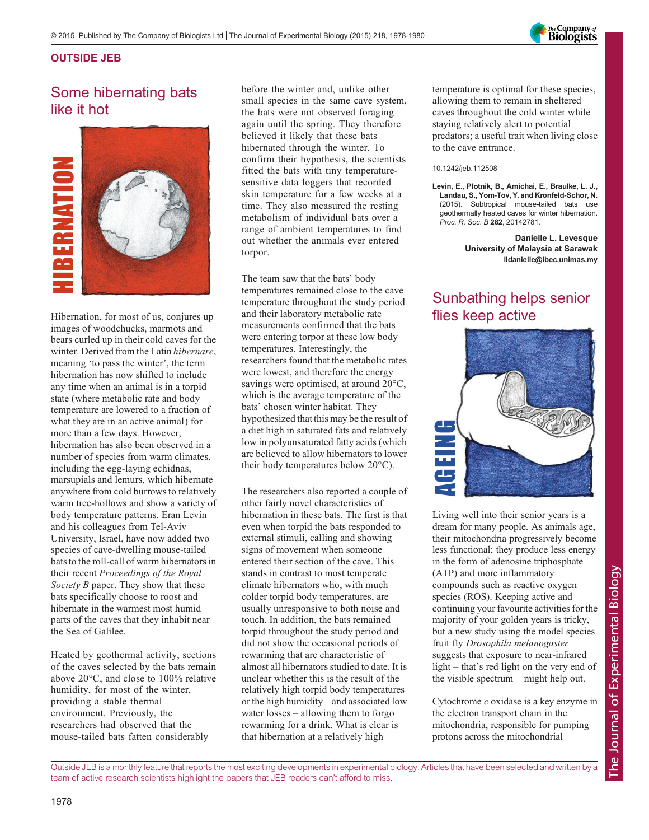

#### OUTSIDE JEB

# Some hibernating bats like it hot



Hibernation, for most of us, conjures up images of woodchucks, marmots and bears curled up in their cold caves for the winter. Derived from the Latin hibernare, meaning 'to pass the winter', the term hibernation has now shifted to include any time when an animal is in a torpid state (where metabolic rate and body temperature are lowered to a fraction of what they are in an active animal) for more than a few days. However, hibernation has also been observed in a number of species from warm climates, including the egg-laying echidnas, marsupials and lemurs, which hibernate anywhere from cold burrows to relatively warm tree-hollows and show a variety of body temperature patterns. Eran Levin and his colleagues from Tel-Aviv University, Israel, have now added two species of cave-dwelling mouse-tailed bats to the roll-call of warm hibernators in their recent Proceedings of the Royal Society B paper. They show that these bats specifically choose to roost and hibernate in the warmest most humid parts of the caves that they inhabit near the Sea of Galilee.

Heated by geothermal activity, sections of the caves selected by the bats remain above 20°C, and close to 100% relative humidity, for most of the winter, providing a stable thermal environment. Previously, the researchers had observed that the mouse-tailed bats fatten considerably

before the winter and, unlike other small species in the same cave system, the bats were not observed foraging again until the spring. They therefore believed it likely that these bats hibernated through the winter. To confirm their hypothesis, the scientists fitted the bats with tiny temperaturesensitive data loggers that recorded skin temperature for a few weeks at a time. They also measured the resting metabolism of individual bats over a range of ambient temperatures to find out whether the animals ever entered torpor.

The team saw that the bats' body temperatures remained close to the cave temperature throughout the study period and their laboratory metabolic rate measurements confirmed that the bats were entering torpor at these low body temperatures. Interestingly, the researchers found that the metabolic rates were lowest, and therefore the energy savings were optimised, at around 20°C, which is the average temperature of the bats' chosen winter habitat. They hypothesized that this may be the result of a diet high in saturated fats and relatively low in polyunsaturated fatty acids (which are believed to allow hibernators to lower their body temperatures below 20°C).

The researchers also reported a couple of other fairly novel characteristics of hibernation in these bats. The first is that even when torpid the bats responded to external stimuli, calling and showing signs of movement when someone entered their section of the cave. This stands in contrast to most temperate climate hibernators who, with much colder torpid body temperatures, are usually unresponsive to both noise and touch. In addition, the bats remained torpid throughout the study period and did not show the occasional periods of rewarming that are characteristic of almost all hibernators studied to date. It is unclear whether this is the result of the relatively high torpid body temperatures or the high humidity – and associated low water losses – allowing them to forgo rewarming for a drink. What is clear is that hibernation at a relatively high

temperature is optimal for these species, allowing them to remain in sheltered caves throughout the cold winter while staying relatively alert to potential predators; a useful trait when living close to the cave entrance.

#### 10.1242/jeb.112508

Levin, E., Plotnik, B., Amichai, E., Braulke, L. J., Landau, S., Yom-Tov, Y. and Kronfeld-Schor, N. (2015). Subtropical mouse-tailed bats use geothermally heated caves for winter hibernation. Proc. R. Soc. B <sup>282</sup>, 20142781.

> Danielle L. Levesque University of Malaysia at Sarawak lldanielle@ibec.unimas.my

### Sunbathing helps senior flies keep active



Living well into their senior years is a dream for many people. As animals age, their mitochondria progressively become less functional; they produce less energy in the form of adenosine triphosphate (ATP) and more inflammatory compounds such as reactive oxygen species (ROS). Keeping active and continuing your favourite activities for the majority of your golden years is tricky, but a new study using the model species fruit fly Drosophila melanogaster suggests that exposure to near-infrared light – that's red light on the very end of the visible spectrum – might help out.

Cytochrome c oxidase is a key enzyme in the electron transport chain in the mitochondria, responsible for pumping protons across the mitochondrial

Outside JEB is a monthly feature that reports the most exciting developments in experimental biology. Articles that have been selected and written by a team of active research scientists highlight the papers that JEB readers can't afford to miss.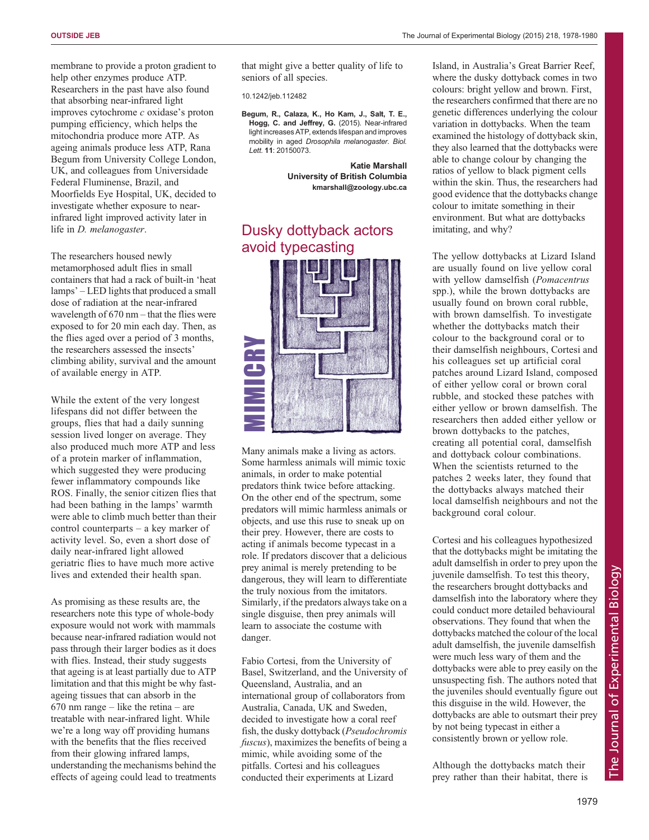membrane to provide a proton gradient to help other enzymes produce ATP. Researchers in the past have also found that absorbing near-infrared light improves cytochrome c oxidase's proton pumping efficiency, which helps the mitochondria produce more ATP. As ageing animals produce less ATP, Rana Begum from University College London, UK, and colleagues from Universidade Federal Fluminense, Brazil, and Moorfields Eye Hospital, UK, decided to investigate whether exposure to nearinfrared light improved activity later in life in D. melanogaster.

The researchers housed newly metamorphosed adult flies in small containers that had a rack of built-in 'heat lamps' – LED lights that produced a small dose of radiation at the near-infrared wavelength of 670 nm – that the flies were exposed to for 20 min each day. Then, as the flies aged over a period of 3 months, the researchers assessed the insects' climbing ability, survival and the amount of available energy in ATP.

While the extent of the very longest lifespans did not differ between the groups, flies that had a daily sunning session lived longer on average. They also produced much more ATP and less of a protein marker of inflammation, which suggested they were producing fewer inflammatory compounds like ROS. Finally, the senior citizen flies that had been bathing in the lamps' warmth were able to climb much better than their control counterparts – a key marker of activity level. So, even a short dose of daily near-infrared light allowed geriatric flies to have much more active lives and extended their health span.

As promising as these results are, the researchers note this type of whole-body exposure would not work with mammals because near-infrared radiation would not pass through their larger bodies as it does with flies. Instead, their study suggests that ageing is at least partially due to ATP limitation and that this might be why fastageing tissues that can absorb in the  $670$  nm range – like the retina – are treatable with near-infrared light. While we're a long way off providing humans with the benefits that the flies received from their glowing infrared lamps, understanding the mechanisms behind the effects of ageing could lead to treatments that might give a better quality of life to seniors of all species.

10.1242/jeb.112482

[Begum, R., Calaza, K., Ho Kam, J., Salt, T. E.,](http://dx.doi.org/10.1098/rsbl.2015.0073) [Hogg, C. and Jeffrey, G.](http://dx.doi.org/10.1098/rsbl.2015.0073) (2015). Near-infrared [light increases ATP, extends lifespan and improves](http://dx.doi.org/10.1098/rsbl.2015.0073) [mobility in aged](http://dx.doi.org/10.1098/rsbl.2015.0073) Drosophila melanogaster. Biol. Lett. <sup>11</sup>[: 20150073.](http://dx.doi.org/10.1098/rsbl.2015.0073)

> Katie Marshall University of British Columbia kmarshall@zoology.ubc.ca

## Dusky dottyback actors avoid typecasting



Many animals make a living as actors. Some harmless animals will mimic toxic animals, in order to make potential predators think twice before attacking. On the other end of the spectrum, some predators will mimic harmless animals or objects, and use this ruse to sneak up on their prey. However, there are costs to acting if animals become typecast in a role. If predators discover that a delicious prey animal is merely pretending to be dangerous, they will learn to differentiate the truly noxious from the imitators. Similarly, if the predators always take on a single disguise, then prey animals will learn to associate the costume with danger.

Fabio Cortesi, from the University of Basel, Switzerland, and the University of Queensland, Australia, and an international group of collaborators from Australia, Canada, UK and Sweden, decided to investigate how a coral reef fish, the dusky dottyback (Pseudochromis fuscus), maximizes the benefits of being a mimic, while avoiding some of the pitfalls. Cortesi and his colleagues conducted their experiments at Lizard

Island, in Australia's Great Barrier Reef, where the dusky dottyback comes in two colours: bright yellow and brown. First, the researchers confirmed that there are no genetic differences underlying the colour variation in dottybacks. When the team examined the histology of dottyback skin, they also learned that the dottybacks were able to change colour by changing the ratios of yellow to black pigment cells within the skin. Thus, the researchers had good evidence that the dottybacks change colour to imitate something in their environment. But what are dottybacks imitating, and why?

The yellow dottybacks at Lizard Island are usually found on live yellow coral with yellow damselfish (Pomacentrus spp.), while the brown dottybacks are usually found on brown coral rubble, with brown damselfish. To investigate whether the dottybacks match their colour to the background coral or to their damselfish neighbours, Cortesi and his colleagues set up artificial coral patches around Lizard Island, composed of either yellow coral or brown coral rubble, and stocked these patches with either yellow or brown damselfish. The researchers then added either yellow or brown dottybacks to the patches, creating all potential coral, damselfish and dottyback colour combinations. When the scientists returned to the patches 2 weeks later, they found that the dottybacks always matched their local damselfish neighbours and not the background coral colour.

Cortesi and his colleagues hypothesized that the dottybacks might be imitating the adult damselfish in order to prey upon the juvenile damselfish. To test this theory, the researchers brought dottybacks and damselfish into the laboratory where they could conduct more detailed behavioural observations. They found that when the dottybacks matched the colour of the local adult damselfish, the juvenile damselfish were much less wary of them and the dottybacks were able to prey easily on the unsuspecting fish. The authors noted that the juveniles should eventually figure out this disguise in the wild. However, the dottybacks are able to outsmart their prey by not being typecast in either a consistently brown or yellow role.

Although the dottybacks match their prey rather than their habitat, there is